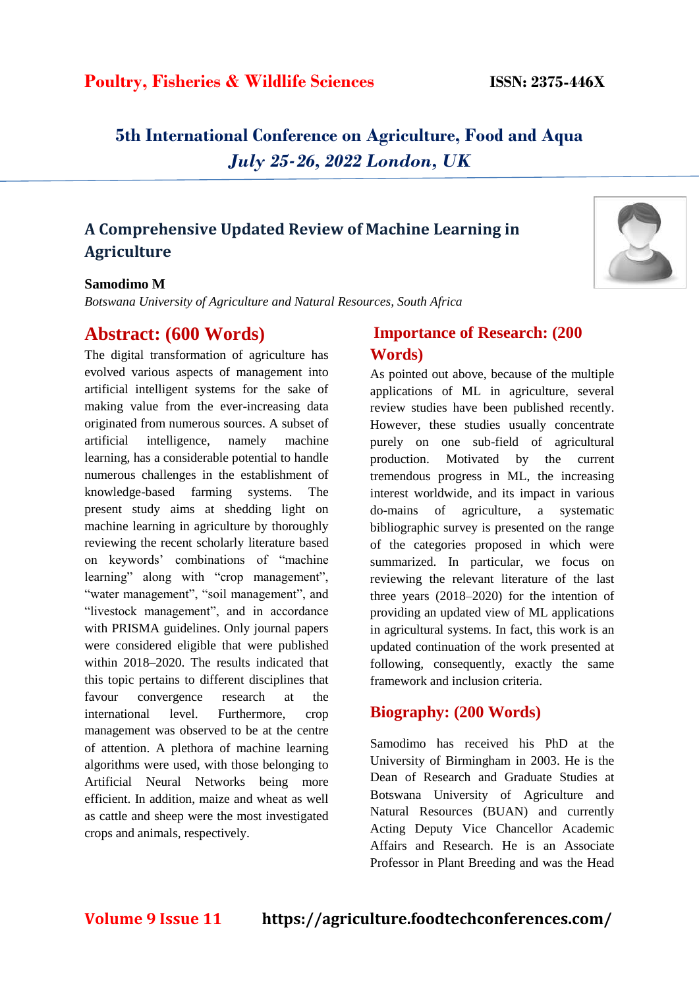# **Poultry, Fisheries & Wildlife Sciences ISSN: 2375-446X**

**5th International Conference on Agriculture, Food and Aqua** *July 25-26, 2022 London, UK*

## **A Comprehensive Updated Review of Machine Learning in Agriculture**

#### **Samodimo M**

*Botswana University of Agriculture and Natural Resources, South Africa*

## **Abstract: (600 Words)**

The digital transformation of agriculture has evolved various aspects of management into artificial intelligent systems for the sake of making value from the ever-increasing data originated from numerous sources. A subset of artificial intelligence, namely machine learning, has a considerable potential to handle numerous challenges in the establishment of knowledge-based farming systems. The present study aims at shedding light on machine learning in agriculture by thoroughly reviewing the recent scholarly literature based on keywords' combinations of "machine learning" along with "crop management", "water management", "soil management", and "livestock management", and in accordance with PRISMA guidelines. Only journal papers were considered eligible that were published within 2018–2020. The results indicated that this topic pertains to different disciplines that favour convergence research at the international level. Furthermore, crop management was observed to be at the centre of attention. A plethora of machine learning algorithms were used, with those belonging to Artificial Neural Networks being more efficient. In addition, maize and wheat as well as cattle and sheep were the most investigated crops and animals, respectively.

### **Importance of Research: (200 Words)**

As pointed out above, because of the multiple applications of ML in agriculture, several review studies have been published recently. However, these studies usually concentrate purely on one sub-field of agricultural production. Motivated by the current tremendous progress in ML, the increasing interest worldwide, and its impact in various do-mains of agriculture, a systematic bibliographic survey is presented on the range of the categories proposed in which were summarized. In particular, we focus on reviewing the relevant literature of the last three years (2018–2020) for the intention of providing an updated view of ML applications in agricultural systems. In fact, this work is an updated continuation of the work presented at following, consequently, exactly the same framework and inclusion criteria.

### **Biography: (200 Words)**

Samodimo has received his PhD at the University of Birmingham in 2003. He is the Dean of Research and Graduate Studies at Botswana University of Agriculture and Natural Resources (BUAN) and currently Acting Deputy Vice Chancellor Academic Affairs and Research. He is an Associate Professor in Plant Breeding and was the Head